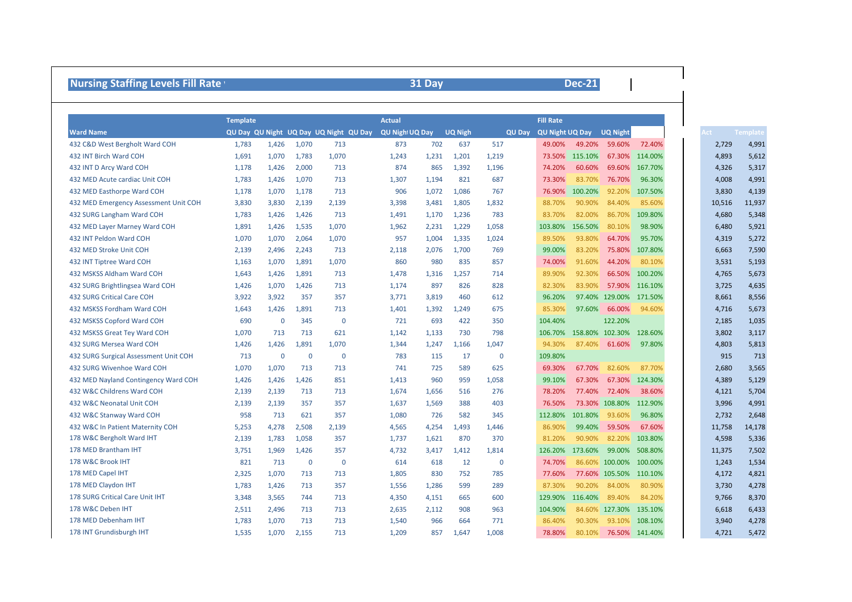| <b>Nursing Staffing Levels Fill Rate \</b> |                 |       |             |                                        |                        | 31 Day |                |               |                        | <b>Dec-21</b>   |                        |                        |                               |
|--------------------------------------------|-----------------|-------|-------------|----------------------------------------|------------------------|--------|----------------|---------------|------------------------|-----------------|------------------------|------------------------|-------------------------------|
|                                            | <b>Template</b> |       |             |                                        | <b>Actual</b>          |        |                |               | <b>Fill Rate</b>       |                 |                        |                        |                               |
| <b>Ward Name</b>                           |                 |       |             | QU Day QU Night UQ Day UQ Night QU Day | <b>QU Night UQ Day</b> |        | <b>UQ Nigh</b> | <b>QU Day</b> | <b>QU Night UQ Day</b> |                 | <b>UQ Night</b>        |                        | <b>Template</b><br><b>Act</b> |
| 432 C&D West Bergholt Ward COH             | 1,783           | 1,426 | 1,070       | 713                                    | 873                    | 702    | 637            | 517           | 49.00%                 | 49.20%          | 59.60%                 | 72.40%                 | 2,729                         |
| 432 INT Birch Ward COH                     | 1,691           | 1,070 | 1,783       | 1,070                                  | 1,243                  | 1,231  | 1,201          | 1,219         | 73.50%                 | 115.10%         | 67.30%                 | 114.00%                | 4,893                         |
| 432 INT D Arcy Ward COH                    | 1,178           | 1,426 | 2,000       | 713                                    | 874                    | 865    | 1,392          | 1,196         | 74.20%                 | 60.60%          |                        | 69.60% 167.70%         | 4,326                         |
| 432 MED Acute cardiac Unit COH             | 1,783           | 1,426 | 1,070       | 713                                    | 1,307                  | 1,194  | 821            | 687           | 73.30%                 | 83.70%          | 76.70%                 | 96.30%                 | 4,008                         |
| 432 MED Easthorpe Ward COH                 | 1,178           | 1,070 | 1,178       | 713                                    | 906                    | 1,072  | 1,086          | 767           | 76.90%                 | 100.20%         | 92.20%                 | 107.50%                | 3,830                         |
| 432 MED Emergency Assessment Unit COH      | 3,830           | 3,830 | 2,139       | 2,139                                  | 3,398                  | 3,481  | 1,805          | 1,832         | 88.70%                 | 90.90%          | 84.40%                 | 85.60%                 | 10,516                        |
| 432 SURG Langham Ward COH                  | 1,783           | 1,426 | 1,426       | 713                                    | 1,491                  | 1,170  | 1,236          | 783           | 83.70%                 | 82.00%          | 86.70%                 | 109.80%                | 4,680                         |
| 432 MED Layer Marney Ward COH              | 1,891           | 1,426 | 1,535       | 1,070                                  | 1,962                  | 2,231  | 1,229          | 1,058         | 103.80%                | 156.50%         | 80.10%                 | 98.90%                 | 6,480                         |
| 432 INT Peldon Ward COH                    | 1,070           | 1,070 | 2,064       | 1,070                                  | 957                    | 1,004  | 1,335          | 1,024         | 89.50%                 | 93.80%          | 64.70%                 | 95.70%                 | 4,319                         |
| 432 MED Stroke Unit COH                    | 2,139           | 2,496 | 2,243       | 713                                    | 2,118                  | 2,076  | 1,700          | 769           | 99.00%                 | 83.20%          | 75.80%                 | 107.80%                | 6,663                         |
| 432 INT Tiptree Ward COH                   | 1,163           | 1,070 | 1,891       | 1,070                                  | 860                    | 980    | 835            | 857           | 74.00%                 | 91.60%          | 44.20%                 | 80.10%                 | 3,531                         |
| 432 MSKSS Aldham Ward COH                  | 1,643           | 1,426 | 1,891       | 713                                    | 1,478                  | 1,316  | 1,257          | 714           | 89.90%                 | 92.30%          |                        | 66.50% 100.20%         | 4,765                         |
| 432 SURG Brightlingsea Ward COH            | 1,426           | 1,070 | 1,426       | 713                                    | 1,174                  | 897    | 826            | 828           | 82.30%                 | 83.90%          |                        | 57.90% 116.10%         | 3,725                         |
| <b>432 SURG Critical Care COH</b>          | 3,922           | 3,922 | 357         | 357                                    | 3,771                  | 3,819  | 460            | 612           | 96.20%                 |                 | 97.40% 129.00% 171.50% |                        | 8,661                         |
| 432 MSKSS Fordham Ward COH                 | 1,643           | 1,426 | 1,891       | 713                                    | 1,401                  | 1,392  | 1,249          | 675           | 85.30%                 | 97.60%          | 66.00%                 | 94.60%                 | 4,716                         |
| 432 MSKSS Copford Ward COH                 | 690             | 0     | 345         | $\mathbf 0$                            | 721                    | 693    | 422            | 350           | 104.40%                |                 | 122.20%                |                        | 2,185                         |
| 432 MSKSS Great Tey Ward COH               | 1,070           | 713   | 713         | 621                                    | 1,142                  | 1,133  | 730            | 798           | 106.70%                | 158.80%         | 102.30%                | 128.60%                | 3,802                         |
| 432 SURG Mersea Ward COH                   | 1,426           | 1,426 | 1,891       | 1,070                                  | 1,344                  | 1,247  | 1,166          | 1,047         | 94.30%                 | 87.40%          | 61.60%                 | 97.80%                 | 4,803                         |
| 432 SURG Surgical Assessment Unit COH      | 713             | 0     | $\mathbf 0$ | $\mathbf 0$                            | 783                    | 115    | 17             | 0             | 109.80%                |                 |                        |                        | 915                           |
| 432 SURG Wivenhoe Ward COH                 | 1,070           | 1,070 | 713         | 713                                    | 741                    | 725    | 589            | 625           | 69.30%                 | 67.70%          | 82.60%                 | 87.70%                 | 2,680                         |
| 432 MED Nayland Contingency Ward COH       | 1,426           | 1,426 | 1,426       | 851                                    | 1,413                  | 960    | 959            | 1,058         | 99.10%                 | 67.30%          | 67.30%                 | 124.30%                | 4,389                         |
| 432 W&C Childrens Ward COH                 | 2,139           | 2,139 | 713         | 713                                    | 1,674                  | 1,656  | 516            | 276           | 78.20%                 | 77.40%          | 72.40%                 | 38.60%                 | 4,121                         |
| 432 W&C Neonatal Unit COH                  | 2,139           | 2,139 | 357         | 357                                    | 1,637                  | 1,569  | 388            | 403           | 76.50%                 | 73.30%          | 108.80%                | 112.90%                | 3,996                         |
| 432 W&C Stanway Ward COH                   | 958             | 713   | 621         | 357                                    | 1,080                  | 726    | 582            | 345           | 112.80%                | 101.80%         | 93.60%                 | 96.80%                 | 2,732                         |
| 432 W&C In Patient Maternity COH           | 5,253           | 4,278 | 2,508       | 2,139                                  | 4,565                  | 4,254  | 1,493          | 1,446         | 86.90%                 | 99.40%          | 59.50%                 | 67.60%                 | 11,758                        |
| 178 W&C Bergholt Ward IHT                  | 2,139           | 1,783 | 1,058       | 357                                    | 1,737                  | 1,621  | 870            | 370           | 81.20%                 | 90.90%          | 82.20%                 | 103.80%                | 4,598                         |
| 178 MED Brantham IHT                       | 3,751           | 1,969 | 1,426       | 357                                    | 4,732                  | 3,417  | 1,412          | 1,814         | 126.20%                |                 |                        | 173.60% 99.00% 508.80% | 11,375                        |
| 178 W&C Brook IHT                          | 821             | 713   | $\mathbf 0$ | 0                                      | 614                    | 618    | 12             | $\mathbf 0$   | 74.70%                 |                 |                        | 86.60% 100.00% 100.00% | 1,243                         |
| 178 MED Capel IHT                          | 2,325           | 1,070 | 713         | 713                                    | 1,805                  | 830    | 752            | 785           | 77.60%                 |                 |                        | 77.60% 105.50% 110.10% | 4,172                         |
| 178 MED Claydon IHT                        | 1,783           | 1,426 | 713         | 357                                    | 1,556                  | 1,286  | 599            | 289           | 87.30%                 |                 | 90.20% 84.00%          | 80.90%                 | 3,730                         |
| 178 SURG Critical Care Unit IHT            | 3,348           | 3,565 | 744         | 713                                    | 4,350                  | 4,151  | 665            | 600           |                        | 129.90% 116.40% |                        | 89.40% 84.20%          | 9,766                         |
| 178 W&C Deben IHT                          | 2,511           | 2,496 | 713         | 713                                    | 2,635                  | 2,112  | 908            | 963           | 104.90%                |                 |                        | 84.60% 127.30% 135.10% | 6,618                         |
| 178 MED Debenham IHT                       | 1,783           | 1,070 | 713         | 713                                    | 1,540                  | 966    | 664            | 771           | 86.40%                 |                 |                        | 90.30% 93.10% 108.10%  | 3,940                         |
| 178 INT Grundisburgh IHT                   | 1,535           | 1,070 | 2,155       | 713                                    | 1,209                  | 857    | 1,647          | 1,008         | 78.80%                 |                 |                        | 80.10% 76.50% 141.40%  | 4,721                         |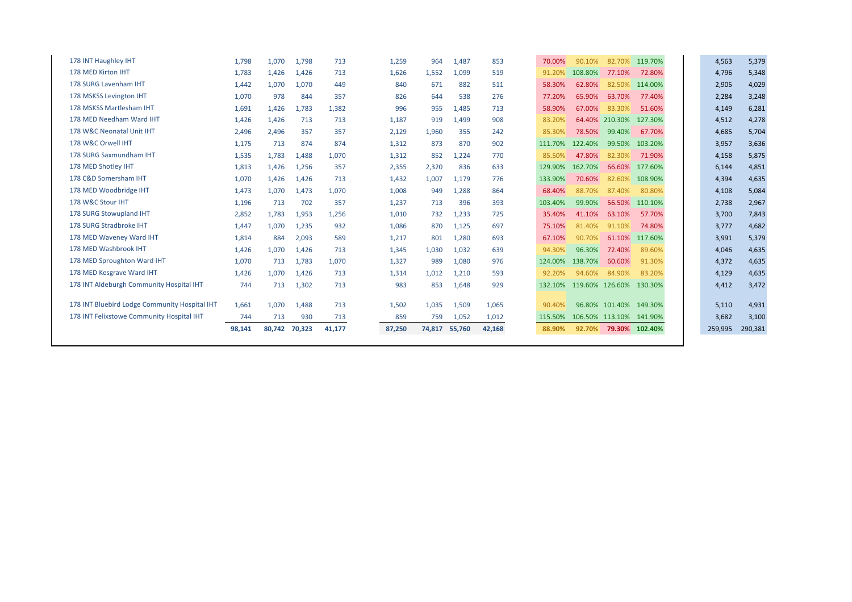|                                               | 98,141 | 80,742 | 70,323 | 41,177 | 87,250 | 74,817 | 55,760 | 42,168 | 88.90%  | 92.70%  | 79.30%          | 102.40% |  | 259,995 | 290,381 |
|-----------------------------------------------|--------|--------|--------|--------|--------|--------|--------|--------|---------|---------|-----------------|---------|--|---------|---------|
| 178 INT Felixstowe Community Hospital IHT     | 744    | 713    | 930    | 713    | 859    | 759    | 1,052  | 1,012  | 115.50% | 106.50% | 113.10% 141.90% |         |  | 3,682   | 3,100   |
| 178 INT Bluebird Lodge Community Hospital IHT | 1,661  | 1,070  | 1,488  | 713    | 1,502  | 1.035  | 1,509  | 1,065  | 90.40%  |         | 96.80% 101.40%  | 149.30% |  | 5,110   | 4,931   |
| 178 INT Aldeburgh Community Hospital IHT      | 744    | 713    | 1,302  | 713    | 983    | 853    | 1,648  | 929    | 132.10% |         | 119.60% 126.60% | 130.30% |  | 4,412   | 3,472   |
| 178 MED Kesgrave Ward IHT                     | 1,426  | 1,070  | 1,426  | 713    | 1,314  | 1,012  | 1,210  | 593    | 92.20%  | 94.60%  | 84.90%          | 83.20%  |  | 4,129   | 4,635   |
| 178 MED Sproughton Ward IHT                   | 1,070  | 713    | 1,783  | 1,070  | 1,327  | 989    | 1,080  | 976    | 124.00% | 138.70% | 60.60%          | 91.30%  |  | 4,372   | 4,635   |
| 178 MED Washbrook IHT                         | 1,426  | 1,070  | 1,426  | 713    | 1,345  | 1,030  | 1,032  | 639    | 94.30%  | 96.30%  | 72.40%          | 89.60%  |  | 4,046   | 4,635   |
| 178 MED Waveney Ward IHT                      | 1,814  | 884    | 2,093  | 589    | 1,217  | 801    | 1,280  | 693    | 67.10%  | 90.70%  | 61.10%          | 117.60% |  | 3,991   | 5,379   |
| 178 SURG Stradbroke IHT                       | 1,447  | 1,070  | 1,235  | 932    | 1,086  | 870    | 1,125  | 697    | 75.10%  | 81.40%  | 91.10%          | 74.80%  |  | 3,777   | 4,682   |
| 178 SURG Stowupland IHT                       | 2,852  | 1,783  | 1,953  | 1,256  | 1,010  | 732    | 1,233  | 725    | 35.40%  | 41.10%  | 63.10%          | 57.70%  |  | 3,700   | 7,843   |
| 178 W&C Stour IHT                             | 1,196  | 713    | 702    | 357    | 1,237  | 713    | 396    | 393    | 103.40% | 99.90%  | 56.50%          | 110.10% |  | 2,738   | 2,967   |
| 178 MED Woodbridge IHT                        | 1,473  | 1,070  | 1,473  | 1,070  | 1,008  | 949    | 1,288  | 864    | 68.40%  | 88.70%  | 87.40%          | 80.80%  |  | 4,108   | 5,084   |
| 178 C&D Somersham IHT                         | 1,070  | 1,426  | 1,426  | 713    | 1,432  | 1,007  | 1,179  | 776    | 133.90% | 70.60%  | 82.60%          | 108.90% |  | 4,394   | 4,635   |
| 178 MED Shotley IHT                           | 1,813  | 1,426  | 1,256  | 357    | 2,355  | 2,320  | 836    | 633    | 129.90% | 162.70% | 66.60%          | 177.60% |  | 6,144   | 4,851   |
| 178 SURG Saxmundham IHT                       | 1,535  | 1,783  | 1,488  | 1,070  | 1,312  | 852    | 1,224  | 770    | 85.50%  | 47.80%  | 82.30%          | 71.90%  |  | 4,158   | 5,875   |
| 178 W&C Orwell IHT                            | 1,175  | 713    | 874    | 874    | 1,312  | 873    | 870    | 902    | 111.70% | 122.40% | 99.50%          | 103.20% |  | 3,957   | 3,636   |
| 178 W&C Neonatal Unit IHT                     | 2,496  | 2.496  | 357    | 357    | 2,129  | 1,960  | 355    | 242    | 85.30%  | 78.50%  | 99.40%          | 67.70%  |  | 4,685   | 5,704   |
| 178 MED Needham Ward IHT                      | 1,426  | 1,426  | 713    | 713    | 1,187  | 919    | 1,499  | 908    | 83.20%  | 64.40%  | 210.30%         | 127.30% |  | 4,512   | 4,278   |
| 178 MSKSS Martlesham IHT                      | 1,691  | 1,426  | 1,783  | 1,382  | 996    | 955    | 1.485  | 713    | 58.90%  | 67.00%  | 83.30%          | 51.60%  |  | 4,149   | 6,281   |
| 178 MSKSS Levington IHT                       | 1,070  | 978    | 844    | 357    | 826    | 644    | 538    | 276    | 77.20%  | 65.90%  | 63.70%          | 77.40%  |  | 2,284   | 3,248   |
| 178 SURG Lavenham IHT                         | 1,442  | 1,070  | 1,070  | 449    | 840    | 671    | 882    | 511    | 58.30%  | 62.80%  | 82.50%          | 114.00% |  | 2,905   | 4,029   |
| 178 MED Kirton IHT                            | 1,783  | 1,426  | 1,426  | 713    | 1,626  | 1.552  | 1,099  | 519    | 91.20%  | 108.80% | 77.10%          | 72.80%  |  | 4,796   | 5,348   |
| 178 INT Haughley IHT                          | 1,798  | 1,070  | 1,798  | 713    | 1,259  | 964    | 1,487  | 853    | 70.00%  | 90.10%  | 82.70%          | 119.70% |  | 4,563   | 5,379   |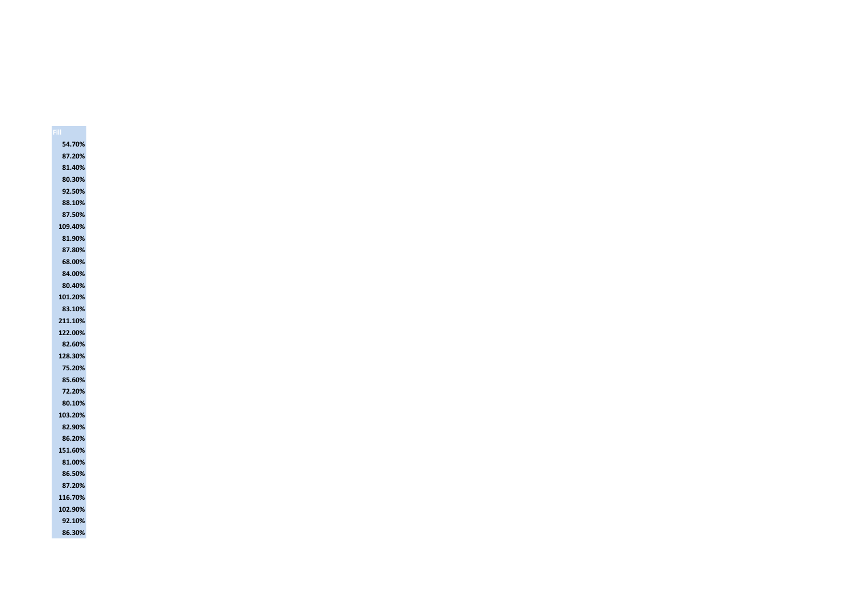**54.70% 87.20% 81.40% 80.30% 92.50% 88.10% 87.50% 109.40% 81.90% 87.80% 68.00% 84.00% 80.40% 101.20% 83.10% 211.10% 122.00% 82.60% 128.30% 75.20% 85.60% 72.20% 80.10% 103.20% 82.90% 86.20% 151.60% 81.00% 86.50% 87.20% 116.70% 102.90% 92.10% 86.30%**